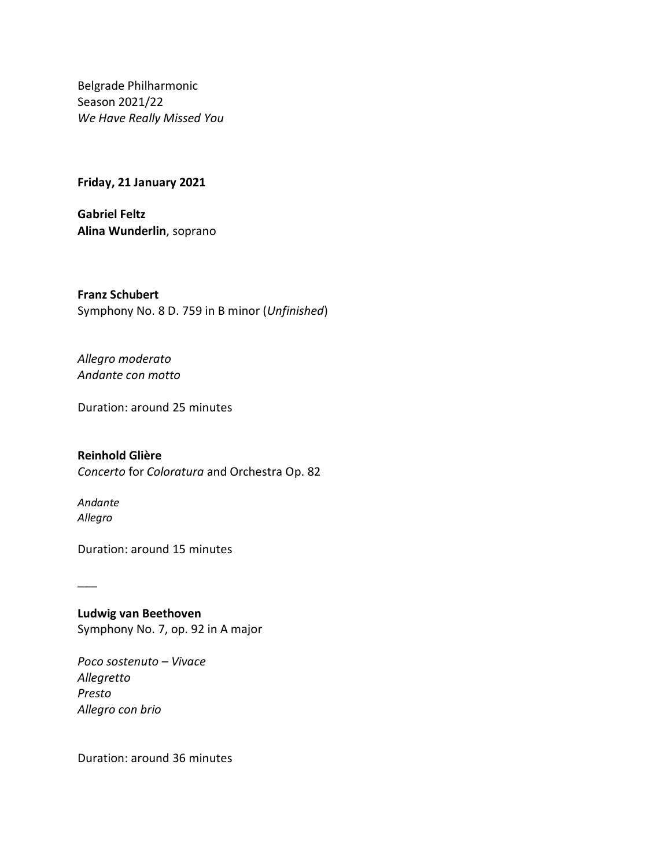Belgrade Philharmonic Season 2021/22 *We Have Really Missed You*

**Friday, 21 January 2021**

**Gabriel Feltz Alina Wunderlin**, soprano

**Franz Schubert** Symphony No. 8 D. 759 in B minor (*Unfinished*)

*Allegro moderato Andante con motto*

Duration: around 25 minutes

## **Reinhold Glière**

*Concerto* for *Coloratura* and Orchestra Op. 82

*Andante Allegro*

\_\_\_

Duration: around 15 minutes

**Ludwig van Beethoven** Symphony No. 7, op. 92 in A major

*Poco sostenuto – Vivace Allegretto Presto Allegro con brio*

Duration: around 36 minutes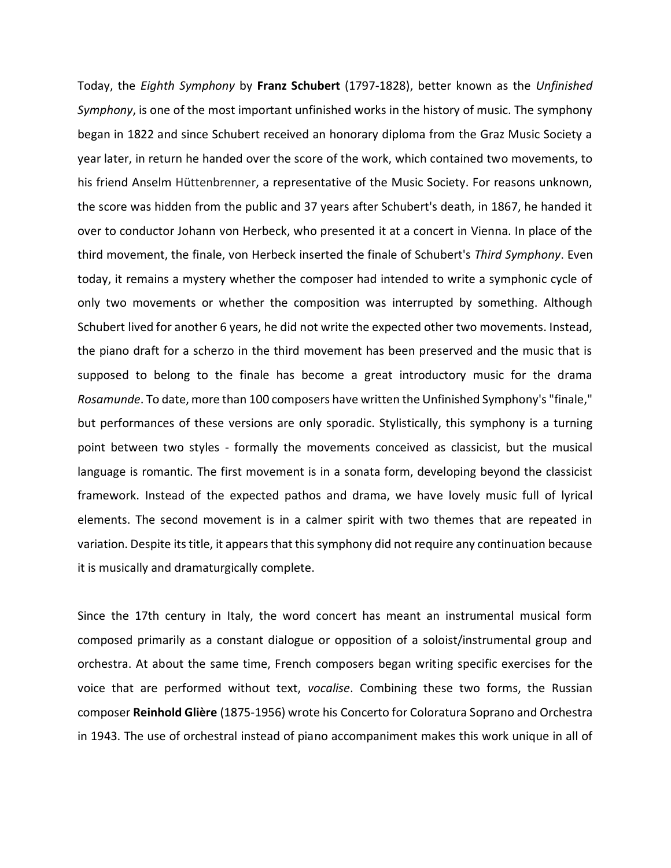Today, the *Eighth Symphony* by **Franz Schubert** (1797-1828), better known as the *Unfinished Symphony*, is one of the most important unfinished works in the history of music. The symphony began in 1822 and since Schubert received an honorary diploma from the Graz Music Society a year later, in return he handed over the score of the work, which contained two movements, to his friend Anselm Hüttenbrenner, a representative of the Music Society. For reasons unknown, the score was hidden from the public and 37 years after Schubert's death, in 1867, he handed it over to conductor Johann von Herbeck, who presented it at a concert in Vienna. In place of the third movement, the finale, von Herbeck inserted the finale of Schubert's *Third Symphony*. Even today, it remains a mystery whether the composer had intended to write a symphonic cycle of only two movements or whether the composition was interrupted by something. Although Schubert lived for another 6 years, he did not write the expected other two movements. Instead, the piano draft for a scherzo in the third movement has been preserved and the music that is supposed to belong to the finale has become a great introductory music for the drama *Rosamunde*. To date, more than 100 composers have written the Unfinished Symphony's "finale," but performances of these versions are only sporadic. Stylistically, this symphony is a turning point between two styles - formally the movements conceived as classicist, but the musical language is romantic. The first movement is in a sonata form, developing beyond the classicist framework. Instead of the expected pathos and drama, we have lovely music full of lyrical elements. The second movement is in a calmer spirit with two themes that are repeated in variation. Despite its title, it appears that this symphony did not require any continuation because it is musically and dramaturgically complete.

Since the 17th century in Italy, the word concert has meant an instrumental musical form composed primarily as a constant dialogue or opposition of a soloist/instrumental group and orchestra. At about the same time, French composers began writing specific exercises for the voice that are performed without text, *vocalise*. Combining these two forms, the Russian composer **Reinhold Glière** (1875-1956) wrote his Concerto for Coloratura Soprano and Orchestra in 1943. The use of orchestral instead of piano accompaniment makes this work unique in all of